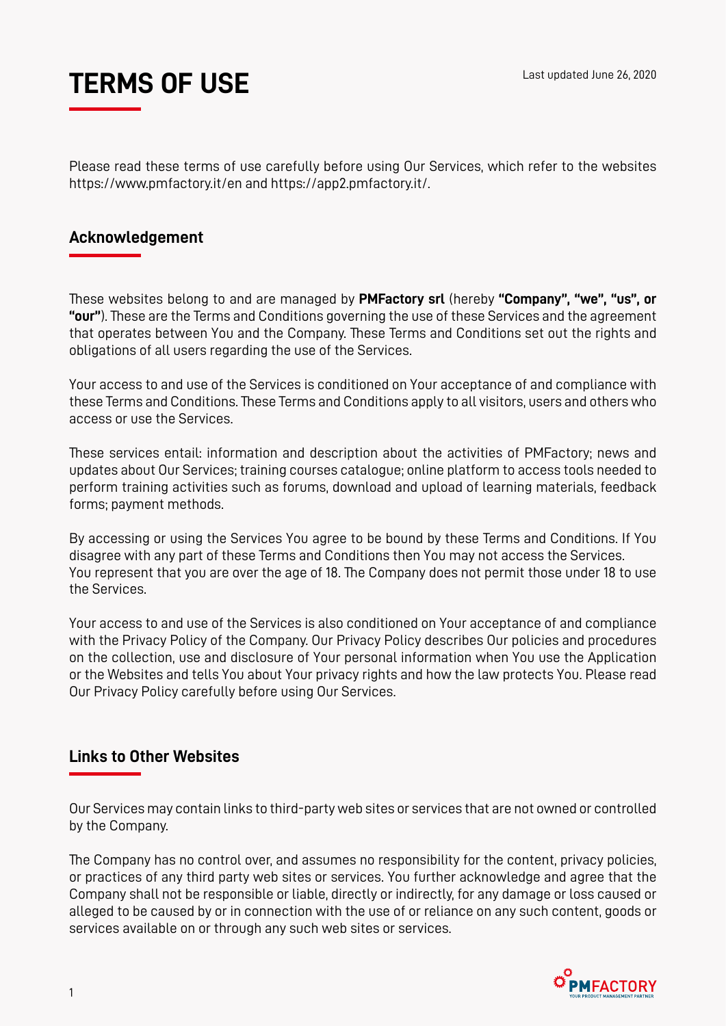

Please read these terms of use carefully before using Our Services, which refer to the websites https://www.pmfactory.it/en and https://app2.pmfactory.it/.

#### **Acknowledgement**

These websites belong to and are managed by **PMFactory srl** (hereby **"Company", "we", "us", or "our"**). These are the Terms and Conditions governing the use of these Services and the agreement that operates between You and the Company. These Terms and Conditions set out the rights and obligations of all users regarding the use of the Services.

Your access to and use of the Services is conditioned on Your acceptance of and compliance with these Terms and Conditions. These Terms and Conditions apply to all visitors, users and others who access or use the Services.

These services entail: information and description about the activities of PMFactory; news and updates about Our Services; training courses catalogue; online platform to access tools needed to perform training activities such as forums, download and upload of learning materials, feedback forms; payment methods.

By accessing or using the Services You agree to be bound by these Terms and Conditions. If You disagree with any part of these Terms and Conditions then You may not access the Services. You represent that you are over the age of 18. The Company does not permit those under 18 to use the Services.

Your access to and use of the Services is also conditioned on Your acceptance of and compliance with the Privacy Policy of the Company. Our Privacy Policy describes Our policies and procedures on the collection, use and disclosure of Your personal information when You use the Application or the Websites and tells You about Your privacy rights and how the law protects You. Please read Our Privacy Policy carefully before using Our Services.

### **Links to Other Websites**

Our Services may contain links to third-party web sites or services that are not owned or controlled by the Company.

The Company has no control over, and assumes no responsibility for the content, privacy policies, or practices of any third party web sites or services. You further acknowledge and agree that the Company shall not be responsible or liable, directly or indirectly, for any damage or loss caused or alleged to be caused by or in connection with the use of or reliance on any such content, goods or services available on or through any such web sites or services.

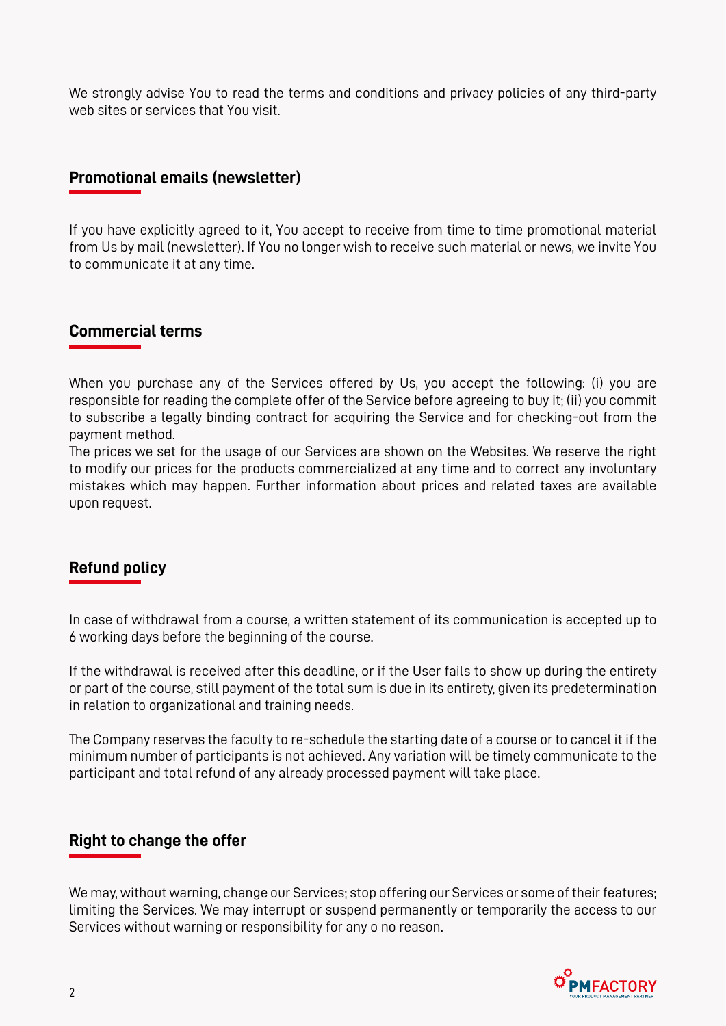We strongly advise You to read the terms and conditions and privacy policies of any third-party web sites or services that You visit.

## **Promotional emails (newsletter)**

If you have explicitly agreed to it, You accept to receive from time to time promotional material from Us by mail (newsletter). If You no longer wish to receive such material or news, we invite You to communicate it at any time.

# **Commercial terms**

When you purchase any of the Services offered by Us, you accept the following: (i) you are responsible for reading the complete offer of the Service before agreeing to buy it; (ii) you commit to subscribe a legally binding contract for acquiring the Service and for checking-out from the payment method.

The prices we set for the usage of our Services are shown on the Websites. We reserve the right to modify our prices for the products commercialized at any time and to correct any involuntary mistakes which may happen. Further information about prices and related taxes are available upon request.

# **Refund policy**

In case of withdrawal from a course, a written statement of its communication is accepted up to 6 working days before the beginning of the course.

If the withdrawal is received after this deadline, or if the User fails to show up during the entirety or part of the course, still payment of the total sum is due in its entirety, given its predetermination in relation to organizational and training needs.

The Company reserves the faculty to re-schedule the starting date of a course or to cancel it if the minimum number of participants is not achieved. Any variation will be timely communicate to the participant and total refund of any already processed payment will take place.

### **Right to change the offer**

We may, without warning, change our Services; stop offering our Services or some of their features; limiting the Services. We may interrupt or suspend permanently or temporarily the access to our Services without warning or responsibility for any o no reason.

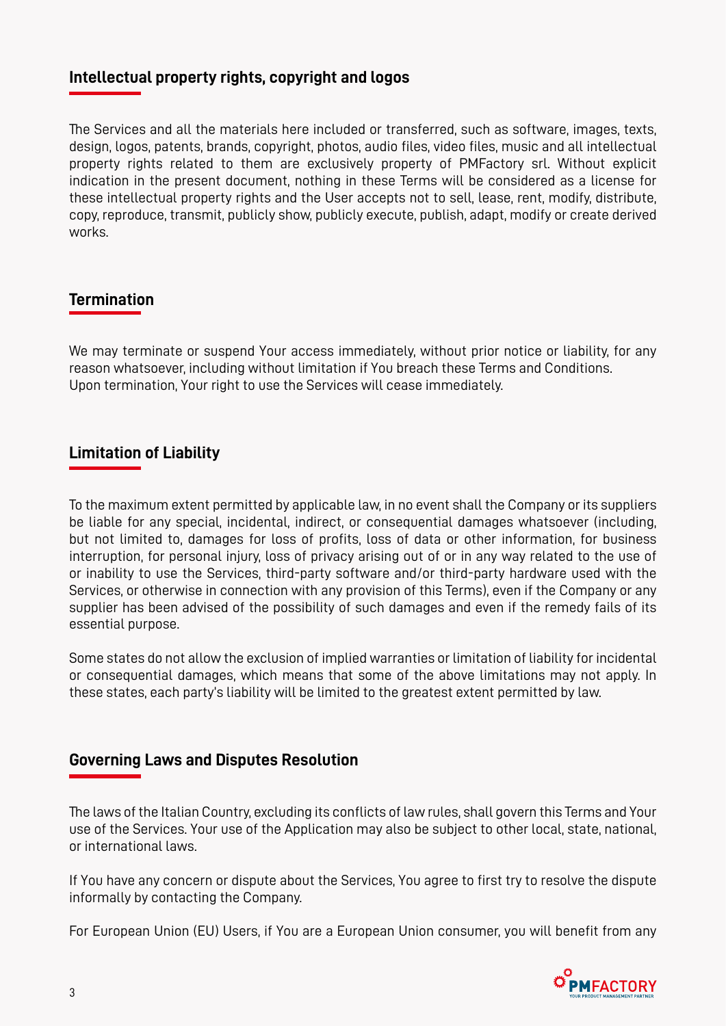## **Intellectual property rights, copyright and logos**

The Services and all the materials here included or transferred, such as software, images, texts, design, logos, patents, brands, copyright, photos, audio files, video files, music and all intellectual property rights related to them are exclusively property of PMFactory srl. Without explicit indication in the present document, nothing in these Terms will be considered as a license for these intellectual property rights and the User accepts not to sell, lease, rent, modify, distribute, copy, reproduce, transmit, publicly show, publicly execute, publish, adapt, modify or create derived works.

# **Termination**

We may terminate or suspend Your access immediately, without prior notice or liability, for any reason whatsoever, including without limitation if You breach these Terms and Conditions. Upon termination, Your right to use the Services will cease immediately.

## **Limitation of Liability**

To the maximum extent permitted by applicable law, in no event shall the Company or its suppliers be liable for any special, incidental, indirect, or consequential damages whatsoever (including, but not limited to, damages for loss of profits, loss of data or other information, for business interruption, for personal injury, loss of privacy arising out of or in any way related to the use of or inability to use the Services, third-party software and/or third-party hardware used with the Services, or otherwise in connection with any provision of this Terms), even if the Company or any supplier has been advised of the possibility of such damages and even if the remedy fails of its essential purpose.

Some states do not allow the exclusion of implied warranties or limitation of liability for incidental or consequential damages, which means that some of the above limitations may not apply. In these states, each party's liability will be limited to the greatest extent permitted by law.

### **Governing Laws and Disputes Resolution**

The laws of the Italian Country, excluding its conflicts of law rules, shall govern this Terms and Your use of the Services. Your use of the Application may also be subject to other local, state, national, or international laws.

If You have any concern or dispute about the Services, You agree to first try to resolve the dispute informally by contacting the Company.

For European Union (EU) Users, if You are a European Union consumer, you will benefit from any